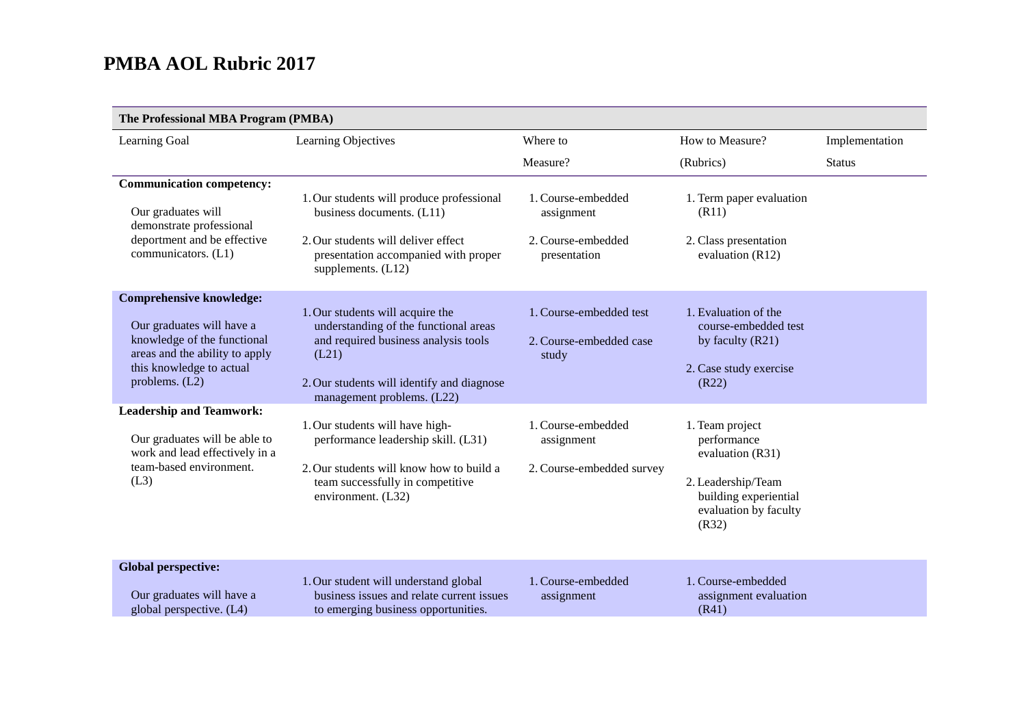| The Professional MBA Program (PMBA)                                                                                                                                           |                                                                                                                                                                                                        |                                                                        |                                                                                                                                     |                |  |
|-------------------------------------------------------------------------------------------------------------------------------------------------------------------------------|--------------------------------------------------------------------------------------------------------------------------------------------------------------------------------------------------------|------------------------------------------------------------------------|-------------------------------------------------------------------------------------------------------------------------------------|----------------|--|
| Learning Goal                                                                                                                                                                 | Learning Objectives                                                                                                                                                                                    | Where to                                                               | How to Measure?                                                                                                                     | Implementation |  |
|                                                                                                                                                                               |                                                                                                                                                                                                        | Measure?                                                               | (Rubrics)                                                                                                                           | <b>Status</b>  |  |
| <b>Communication competency:</b><br>Our graduates will<br>demonstrate professional<br>deportment and be effective<br>communicators. (L1)                                      | 1. Our students will produce professional<br>business documents. (L11)<br>2. Our students will deliver effect<br>presentation accompanied with proper<br>supplements. $(L12)$                          | 1. Course-embedded<br>assignment<br>2. Course-embedded<br>presentation | 1. Term paper evaluation<br>(R11)<br>2. Class presentation<br>evaluation (R12)                                                      |                |  |
| <b>Comprehensive knowledge:</b><br>Our graduates will have a<br>knowledge of the functional<br>areas and the ability to apply<br>this knowledge to actual<br>problems. $(L2)$ | 1. Our students will acquire the<br>understanding of the functional areas<br>and required business analysis tools<br>(L21)<br>2. Our students will identify and diagnose<br>management problems. (L22) | 1. Course-embedded test<br>2. Course-embedded case<br>study            | 1. Evaluation of the<br>course-embedded test<br>by faculty (R21)<br>2. Case study exercise<br>(R22)                                 |                |  |
| <b>Leadership and Teamwork:</b><br>Our graduates will be able to<br>work and lead effectively in a<br>team-based environment.<br>(L3)                                         | 1. Our students will have high-<br>performance leadership skill. (L31)<br>2. Our students will know how to build a<br>team successfully in competitive<br>environment. (L32)                           | 1. Course-embedded<br>assignment<br>2. Course-embedded survey          | 1. Team project<br>performance<br>evaluation (R31)<br>2. Leadership/Team<br>building experiential<br>evaluation by faculty<br>(R32) |                |  |
| <b>Global perspective:</b><br>Our graduates will have a<br>global perspective. (L4)                                                                                           | 1. Our student will understand global<br>business issues and relate current issues<br>to emerging business opportunities.                                                                              | 1. Course-embedded<br>assignment                                       | 1. Course-embedded<br>assignment evaluation<br>(R41)                                                                                |                |  |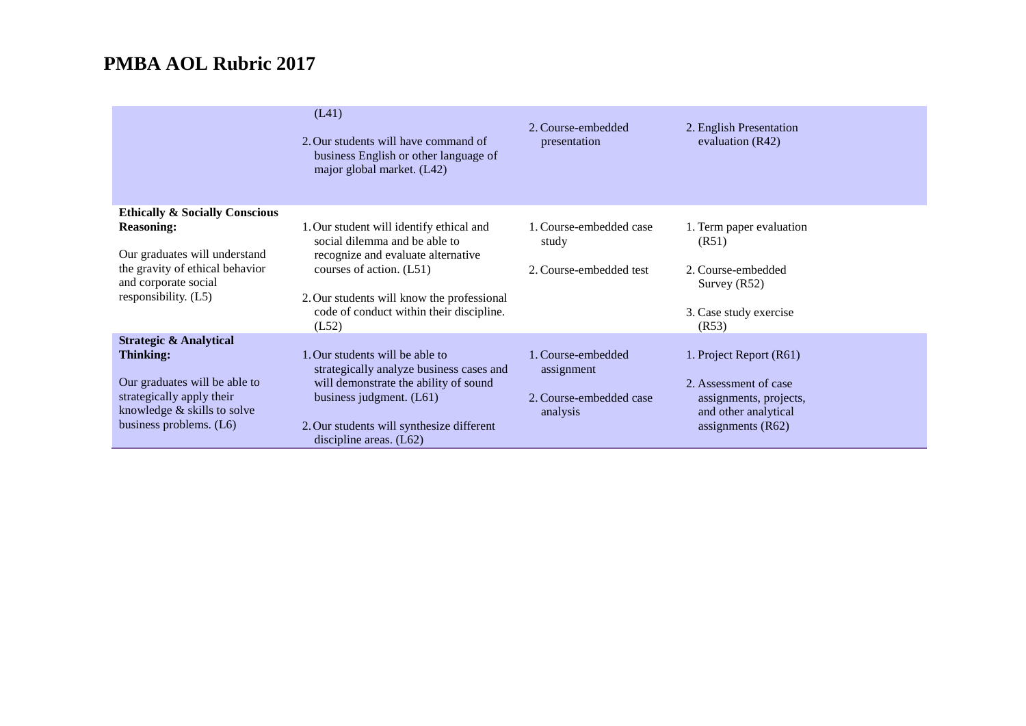|                                                                                          | (L41)<br>2. Our students will have command of<br>business English or other language of<br>major global market. (L42) | 2. Course-embedded<br>presentation | 2. English Presentation<br>evaluation $(R42)$ |
|------------------------------------------------------------------------------------------|----------------------------------------------------------------------------------------------------------------------|------------------------------------|-----------------------------------------------|
| <b>Ethically &amp; Socially Conscious</b>                                                |                                                                                                                      |                                    |                                               |
| <b>Reasoning:</b>                                                                        | 1. Our student will identify ethical and<br>social dilemma and be able to                                            | 1. Course-embedded case<br>study   | 1. Term paper evaluation<br>(R51)             |
| Our graduates will understand<br>the gravity of ethical behavior<br>and corporate social | recognize and evaluate alternative<br>courses of action. (L51)                                                       | 2. Course-embedded test            | 2. Course-embedded<br>Survey $(R52)$          |
| responsibility. (L5)                                                                     | 2. Our students will know the professional<br>code of conduct within their discipline.<br>(L52)                      |                                    | 3. Case study exercise<br>(R53)               |
| <b>Strategic &amp; Analytical</b>                                                        |                                                                                                                      |                                    |                                               |
| <b>Thinking:</b>                                                                         | 1. Our students will be able to<br>strategically analyze business cases and                                          | 1. Course-embedded<br>assignment   | 1. Project Report (R61)                       |
| Our graduates will be able to                                                            | will demonstrate the ability of sound                                                                                |                                    | 2. Assessment of case                         |
| strategically apply their                                                                | business judgment. (L61)                                                                                             | 2. Course-embedded case            | assignments, projects,                        |
| knowledge & skills to solve                                                              |                                                                                                                      | analysis                           | and other analytical                          |
| business problems. (L6)                                                                  | 2. Our students will synthesize different<br>discipline areas. $(L62)$                                               |                                    | assignments $(R62)$                           |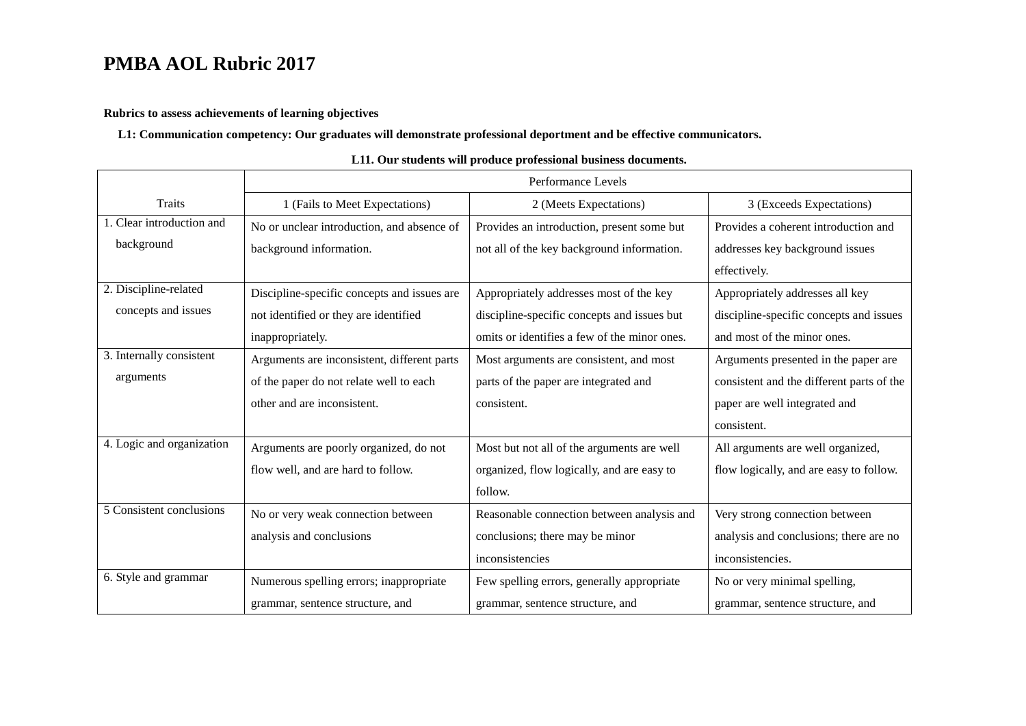### **Rubrics to assess achievements of learning objectives**

### **L1: Communication competency: Our graduates will demonstrate professional deportment and be effective communicators.**

|                           | Performance Levels                          |                                              |                                           |
|---------------------------|---------------------------------------------|----------------------------------------------|-------------------------------------------|
| <b>Traits</b>             | 1 (Fails to Meet Expectations)              | 2 (Meets Expectations)                       | 3 (Exceeds Expectations)                  |
| 1. Clear introduction and | No or unclear introduction, and absence of  | Provides an introduction, present some but   | Provides a coherent introduction and      |
| background                | background information.                     | not all of the key background information.   | addresses key background issues           |
|                           |                                             |                                              | effectively.                              |
| 2. Discipline-related     | Discipline-specific concepts and issues are | Appropriately addresses most of the key      | Appropriately addresses all key           |
| concepts and issues       | not identified or they are identified       | discipline-specific concepts and issues but  | discipline-specific concepts and issues   |
|                           | inappropriately.                            | omits or identifies a few of the minor ones. | and most of the minor ones.               |
| 3. Internally consistent  | Arguments are inconsistent, different parts | Most arguments are consistent, and most      | Arguments presented in the paper are      |
| arguments                 | of the paper do not relate well to each     | parts of the paper are integrated and        | consistent and the different parts of the |
|                           | other and are inconsistent.                 | consistent.                                  | paper are well integrated and             |
|                           |                                             |                                              | consistent.                               |
| 4. Logic and organization | Arguments are poorly organized, do not      | Most but not all of the arguments are well   | All arguments are well organized,         |
|                           | flow well, and are hard to follow.          | organized, flow logically, and are easy to   | flow logically, and are easy to follow.   |
|                           |                                             | follow.                                      |                                           |
| 5 Consistent conclusions  | No or very weak connection between          | Reasonable connection between analysis and   | Very strong connection between            |
|                           | analysis and conclusions                    | conclusions; there may be minor              | analysis and conclusions; there are no    |
|                           |                                             | inconsistencies                              | inconsistencies.                          |
| 6. Style and grammar      | Numerous spelling errors; inappropriate     | Few spelling errors, generally appropriate   | No or very minimal spelling,              |
|                           | grammar, sentence structure, and            | grammar, sentence structure, and             | grammar, sentence structure, and          |

#### **L11. Our students will produce professional business documents.**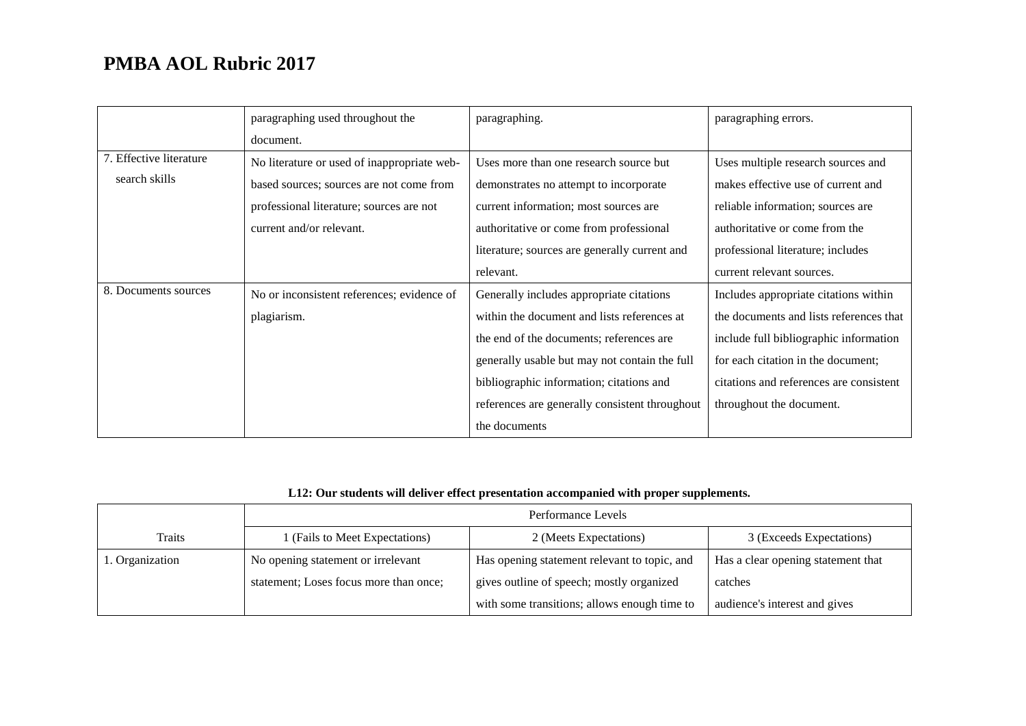|                         | paragraphing used throughout the            | paragraphing.                                  | paragraphing errors.                    |
|-------------------------|---------------------------------------------|------------------------------------------------|-----------------------------------------|
|                         | document.                                   |                                                |                                         |
| 7. Effective literature | No literature or used of inappropriate web- | Uses more than one research source but         | Uses multiple research sources and      |
| search skills           | based sources; sources are not come from    | demonstrates no attempt to incorporate         | makes effective use of current and      |
|                         | professional literature; sources are not    | current information; most sources are          | reliable information; sources are       |
|                         | current and/or relevant.                    | authoritative or come from professional        | authoritative or come from the          |
|                         |                                             | literature; sources are generally current and  | professional literature; includes       |
|                         |                                             | relevant.                                      | current relevant sources.               |
| 8. Documents sources    | No or inconsistent references; evidence of  | Generally includes appropriate citations       | Includes appropriate citations within   |
|                         | plagiarism.                                 | within the document and lists references at    | the documents and lists references that |
|                         |                                             | the end of the documents; references are       | include full bibliographic information  |
|                         |                                             | generally usable but may not contain the full  | for each citation in the document;      |
|                         |                                             | bibliographic information; citations and       | citations and references are consistent |
|                         |                                             | references are generally consistent throughout | throughout the document.                |
|                         |                                             | the documents                                  |                                         |

## **L12: Our students will deliver effect presentation accompanied with proper supplements.**

|                 | Performance Levels                     |                                              |                                    |
|-----------------|----------------------------------------|----------------------------------------------|------------------------------------|
| Traits          | I (Fails to Meet Expectations)         | 2 (Meets Expectations)                       | 3 (Exceeds Expectations)           |
| 1. Organization | No opening statement or irrelevant     | Has opening statement relevant to topic, and | Has a clear opening statement that |
|                 | statement; Loses focus more than once; | gives outline of speech; mostly organized    | catches                            |
|                 |                                        | with some transitions; allows enough time to | audience's interest and gives      |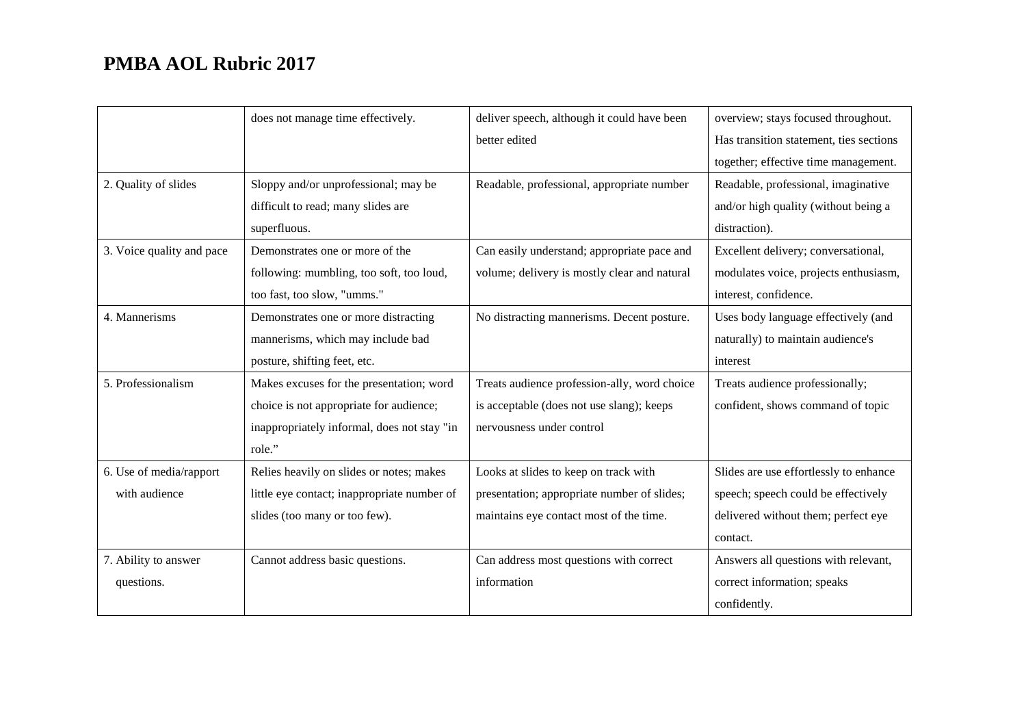|                           | does not manage time effectively.           | deliver speech, although it could have been  | overview; stays focused throughout.     |
|---------------------------|---------------------------------------------|----------------------------------------------|-----------------------------------------|
|                           |                                             | better edited                                | Has transition statement, ties sections |
|                           |                                             |                                              | together; effective time management.    |
| 2. Quality of slides      | Sloppy and/or unprofessional; may be        | Readable, professional, appropriate number   | Readable, professional, imaginative     |
|                           | difficult to read; many slides are          |                                              | and/or high quality (without being a    |
|                           | superfluous.                                |                                              | distraction).                           |
| 3. Voice quality and pace | Demonstrates one or more of the             | Can easily understand; appropriate pace and  | Excellent delivery; conversational,     |
|                           | following: mumbling, too soft, too loud,    | volume; delivery is mostly clear and natural | modulates voice, projects enthusiasm,   |
|                           | too fast, too slow, "umms."                 |                                              | interest, confidence.                   |
| 4. Mannerisms             | Demonstrates one or more distracting        | No distracting mannerisms. Decent posture.   | Uses body language effectively (and     |
|                           | mannerisms, which may include bad           |                                              | naturally) to maintain audience's       |
|                           | posture, shifting feet, etc.                |                                              | interest                                |
| 5. Professionalism        | Makes excuses for the presentation; word    | Treats audience profession-ally, word choice | Treats audience professionally;         |
|                           | choice is not appropriate for audience;     | is acceptable (does not use slang); keeps    | confident, shows command of topic       |
|                           | inappropriately informal, does not stay "in | nervousness under control                    |                                         |
|                           | role."                                      |                                              |                                         |
| 6. Use of media/rapport   | Relies heavily on slides or notes; makes    | Looks at slides to keep on track with        | Slides are use effortlessly to enhance  |
| with audience             | little eye contact; inappropriate number of | presentation; appropriate number of slides;  | speech; speech could be effectively     |
|                           | slides (too many or too few).               | maintains eye contact most of the time.      | delivered without them; perfect eye     |
|                           |                                             |                                              | contact.                                |
| 7. Ability to answer      | Cannot address basic questions.             | Can address most questions with correct      | Answers all questions with relevant,    |
| questions.                |                                             | information                                  | correct information; speaks             |
|                           |                                             |                                              | confidently.                            |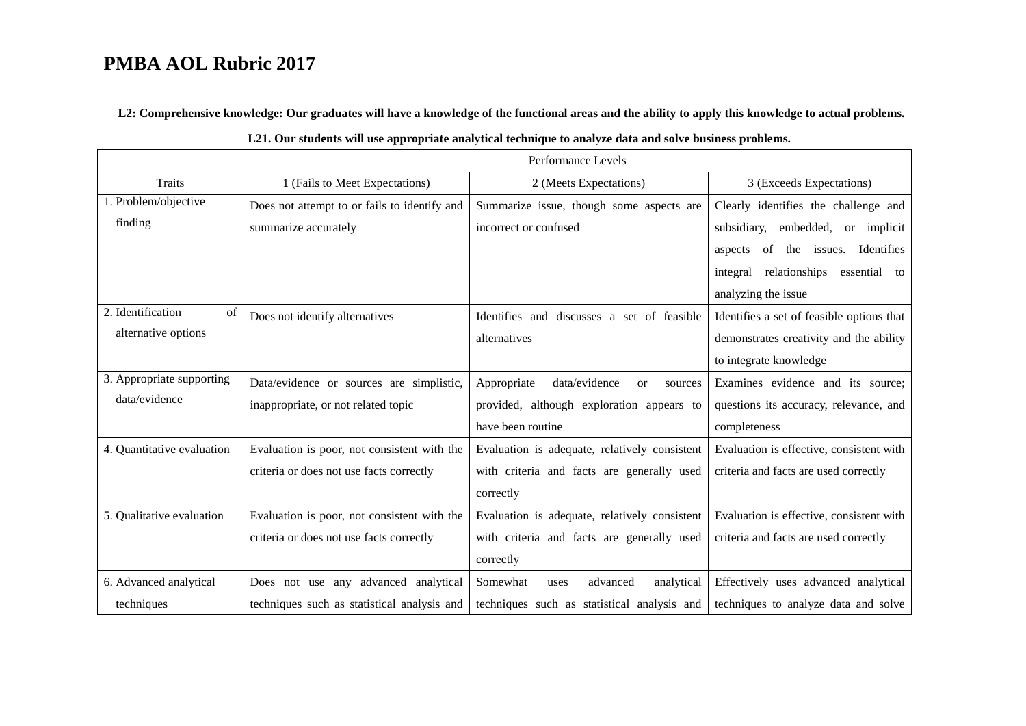**L2: Comprehensive knowledge: Our graduates will have a knowledge of the functional areas and the ability to apply this knowledge to actual problems.**

|                            | Performance Levels                           |                                                      |                                           |
|----------------------------|----------------------------------------------|------------------------------------------------------|-------------------------------------------|
| Traits                     | 1 (Fails to Meet Expectations)               | 2 (Meets Expectations)                               | 3 (Exceeds Expectations)                  |
| 1. Problem/objective       |                                              |                                                      |                                           |
|                            | Does not attempt to or fails to identify and | Summarize issue, though some aspects are             | Clearly identifies the challenge and      |
| finding                    | summarize accurately                         | incorrect or confused                                | subsidiary, embedded, or implicit         |
|                            |                                              |                                                      | aspects of the issues. Identifies         |
|                            |                                              |                                                      | relationships essential to<br>integral    |
|                            |                                              |                                                      | analyzing the issue                       |
| 2. Identification<br>of    | Does not identify alternatives               | Identifies and discusses a set of feasible           | Identifies a set of feasible options that |
| alternative options        |                                              | alternatives                                         | demonstrates creativity and the ability   |
|                            |                                              |                                                      | to integrate knowledge                    |
| 3. Appropriate supporting  | Data/evidence or sources are simplistic,     | Appropriate<br>data/evidence<br><b>or</b><br>sources | Examines evidence and its source;         |
| data/evidence              | inappropriate, or not related topic          | provided, although exploration appears to            | questions its accuracy, relevance, and    |
|                            |                                              | have been routine                                    | completeness                              |
| 4. Quantitative evaluation | Evaluation is poor, not consistent with the  | Evaluation is adequate, relatively consistent        | Evaluation is effective, consistent with  |
|                            | criteria or does not use facts correctly     | with criteria and facts are generally used           | criteria and facts are used correctly     |
|                            |                                              | correctly                                            |                                           |
| 5. Qualitative evaluation  | Evaluation is poor, not consistent with the  | Evaluation is adequate, relatively consistent        | Evaluation is effective, consistent with  |
|                            | criteria or does not use facts correctly     | with criteria and facts are generally used           | criteria and facts are used correctly     |
|                            |                                              | correctly                                            |                                           |
| 6. Advanced analytical     | Does not use any advanced analytical         | Somewhat<br>analytical<br>advanced<br>uses           | Effectively uses advanced analytical      |
| techniques                 | techniques such as statistical analysis and  | techniques such as statistical analysis and          | techniques to analyze data and solve      |

| L21. Our students will use appropriate analytical technique to analyze data and solve business problems. |  |  |
|----------------------------------------------------------------------------------------------------------|--|--|
|----------------------------------------------------------------------------------------------------------|--|--|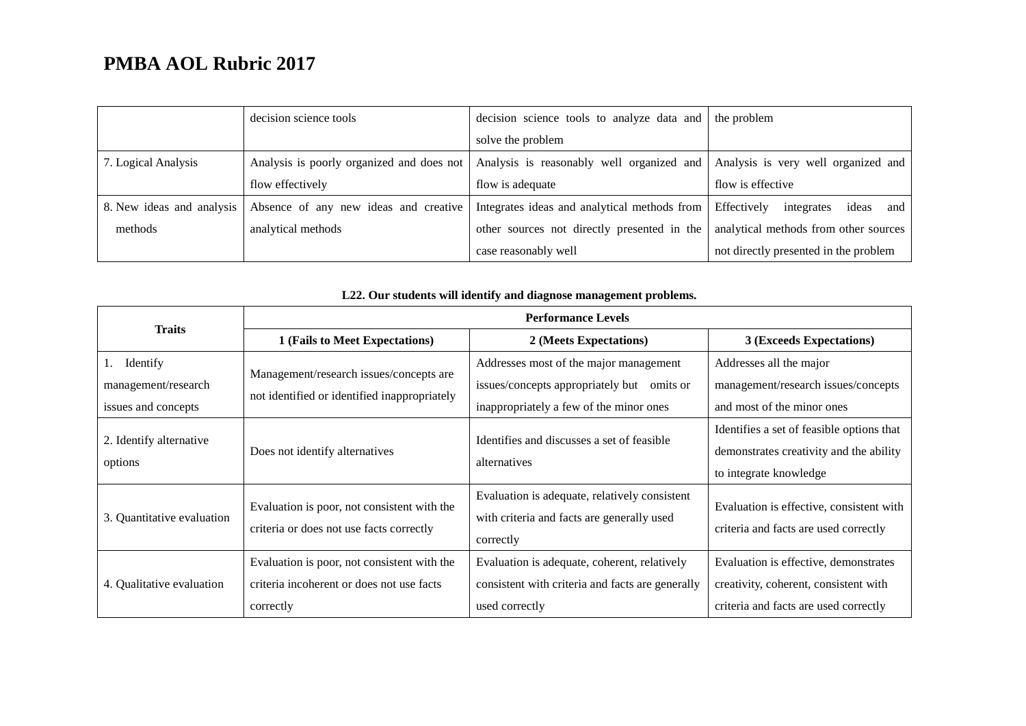|                           | decision science tools                    | decision science tools to analyze data and the problem |                                           |
|---------------------------|-------------------------------------------|--------------------------------------------------------|-------------------------------------------|
|                           |                                           | solve the problem                                      |                                           |
| 7. Logical Analysis       | Analysis is poorly organized and does not | Analysis is reasonably well organized and              | Analysis is very well organized and       |
|                           | flow effectively                          | flow is adequate                                       | flow is effective                         |
| 8. New ideas and analysis | Absence of any new ideas and creative     | Integrates ideas and analytical methods from           | Effectively<br>ideas<br>integrates<br>and |
| methods                   | analytical methods                        | other sources not directly presented in the            | analytical methods from other sources     |
|                           |                                           | case reasonably well                                   | not directly presented in the problem     |

| <b>Traits</b>                                                | <b>Performance Levels</b>                                                                             |                                                                                                                                 |                                                                                                                         |  |
|--------------------------------------------------------------|-------------------------------------------------------------------------------------------------------|---------------------------------------------------------------------------------------------------------------------------------|-------------------------------------------------------------------------------------------------------------------------|--|
|                                                              | 1 (Fails to Meet Expectations)                                                                        | 2 (Meets Expectations)                                                                                                          | 3 (Exceeds Expectations)                                                                                                |  |
| Identify<br>1.<br>management/research<br>issues and concepts | Management/research issues/concepts are<br>not identified or identified inappropriately               | Addresses most of the major management<br>issues/concepts appropriately but omits or<br>inappropriately a few of the minor ones | Addresses all the major<br>management/research issues/concepts<br>and most of the minor ones                            |  |
| 2. Identify alternative<br>options                           | Does not identify alternatives                                                                        | Identifies and discusses a set of feasible<br>alternatives                                                                      | Identifies a set of feasible options that<br>demonstrates creativity and the ability<br>to integrate knowledge          |  |
| 3. Quantitative evaluation                                   | Evaluation is poor, not consistent with the<br>criteria or does not use facts correctly               | Evaluation is adequate, relatively consistent<br>with criteria and facts are generally used<br>correctly                        | Evaluation is effective, consistent with<br>criteria and facts are used correctly                                       |  |
| 4. Qualitative evaluation                                    | Evaluation is poor, not consistent with the<br>criteria incoherent or does not use facts<br>correctly | Evaluation is adequate, coherent, relatively<br>consistent with criteria and facts are generally<br>used correctly              | Evaluation is effective, demonstrates<br>creativity, coherent, consistent with<br>criteria and facts are used correctly |  |

### **L22. Our students will identify and diagnose management problems.**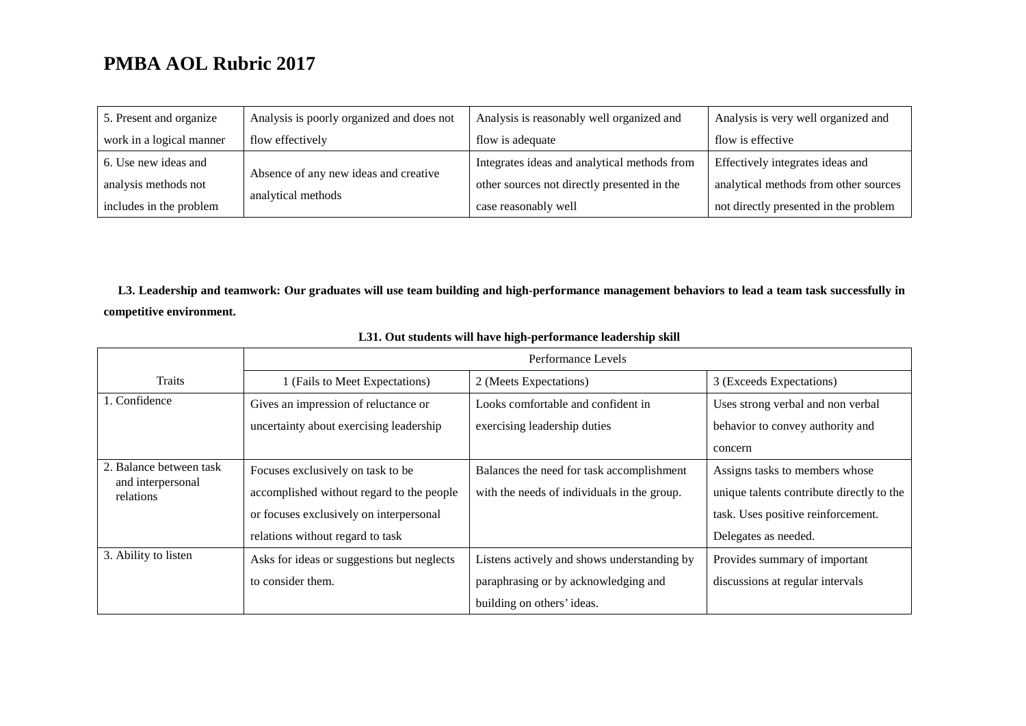| 5. Present and organize  | Analysis is poorly organized and does not                   | Analysis is reasonably well organized and    | Analysis is very well organized and   |
|--------------------------|-------------------------------------------------------------|----------------------------------------------|---------------------------------------|
| work in a logical manner | flow effectively                                            | flow is adequate                             | flow is effective                     |
| 6. Use new ideas and     | Absence of any new ideas and creative<br>analytical methods | Integrates ideas and analytical methods from | Effectively integrates ideas and      |
| analysis methods not     |                                                             | other sources not directly presented in the  | analytical methods from other sources |
| includes in the problem  |                                                             | case reasonably well                         | not directly presented in the problem |

**L3. Leadership and teamwork: Our graduates will use team building and high-performance management behaviors to lead a team task successfully in competitive environment.**

|                                | Performance Levels                         |                                             |                                           |
|--------------------------------|--------------------------------------------|---------------------------------------------|-------------------------------------------|
| <b>Traits</b>                  | 1 (Fails to Meet Expectations)             | 2 (Meets Expectations)                      | 3 (Exceeds Expectations)                  |
| 1. Confidence                  | Gives an impression of reluctance or       | Looks comfortable and confident in          | Uses strong verbal and non verbal         |
|                                | uncertainty about exercising leadership    | exercising leadership duties                | behavior to convey authority and          |
|                                |                                            |                                             | concern                                   |
| 2. Balance between task        | Focuses exclusively on task to be          | Balances the need for task accomplishment   | Assigns tasks to members whose            |
| and interpersonal<br>relations | accomplished without regard to the people  | with the needs of individuals in the group. | unique talents contribute directly to the |
|                                | or focuses exclusively on interpersonal    |                                             | task. Uses positive reinforcement.        |
|                                | relations without regard to task           |                                             | Delegates as needed.                      |
| 3. Ability to listen           | Asks for ideas or suggestions but neglects | Listens actively and shows understanding by | Provides summary of important             |
|                                | to consider them.                          | paraphrasing or by acknowledging and        | discussions at regular intervals          |
|                                |                                            | building on others' ideas.                  |                                           |

### **L31. Out students will have high-performance leadership skill**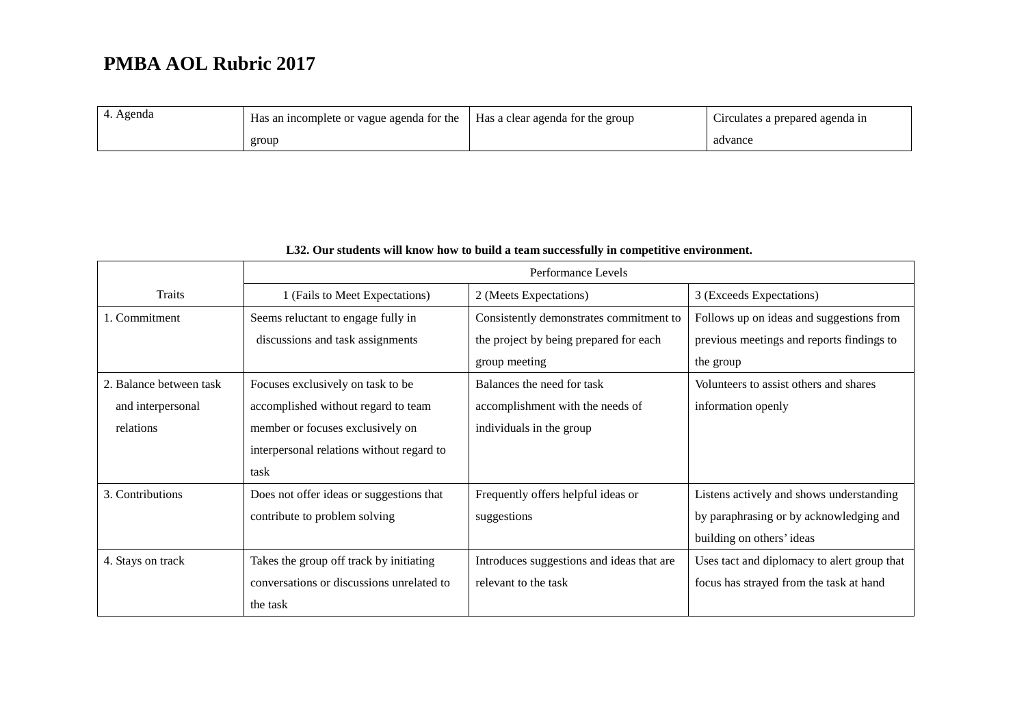| Agenda | $\frac{1}{1}$ Has an incomplete or vague agenda for the $\frac{1}{1}$ | Has a clear agenda for the group | $\sim$<br>Circulates a prepared agenda in |
|--------|-----------------------------------------------------------------------|----------------------------------|-------------------------------------------|
|        | group                                                                 |                                  | advance                                   |

|                         | Performance Levels                        |                                           |                                             |
|-------------------------|-------------------------------------------|-------------------------------------------|---------------------------------------------|
| Traits                  | 1 (Fails to Meet Expectations)            | 2 (Meets Expectations)                    | 3 (Exceeds Expectations)                    |
| 1. Commitment           | Seems reluctant to engage fully in        | Consistently demonstrates commitment to   | Follows up on ideas and suggestions from    |
|                         | discussions and task assignments          | the project by being prepared for each    | previous meetings and reports findings to   |
|                         |                                           | group meeting                             | the group                                   |
| 2. Balance between task | Focuses exclusively on task to be         | Balances the need for task                | Volunteers to assist others and shares      |
| and interpersonal       | accomplished without regard to team       | accomplishment with the needs of          | information openly                          |
| relations               | member or focuses exclusively on          | individuals in the group                  |                                             |
|                         | interpersonal relations without regard to |                                           |                                             |
|                         | task                                      |                                           |                                             |
| 3. Contributions        | Does not offer ideas or suggestions that  | Frequently offers helpful ideas or        | Listens actively and shows understanding    |
|                         | contribute to problem solving             | suggestions                               | by paraphrasing or by acknowledging and     |
|                         |                                           |                                           | building on others' ideas                   |
| 4. Stays on track       | Takes the group off track by initiating   | Introduces suggestions and ideas that are | Uses tact and diplomacy to alert group that |
|                         | conversations or discussions unrelated to | relevant to the task                      | focus has strayed from the task at hand     |
|                         | the task                                  |                                           |                                             |

### **L32. Our students will know how to build a team successfully in competitive environment.**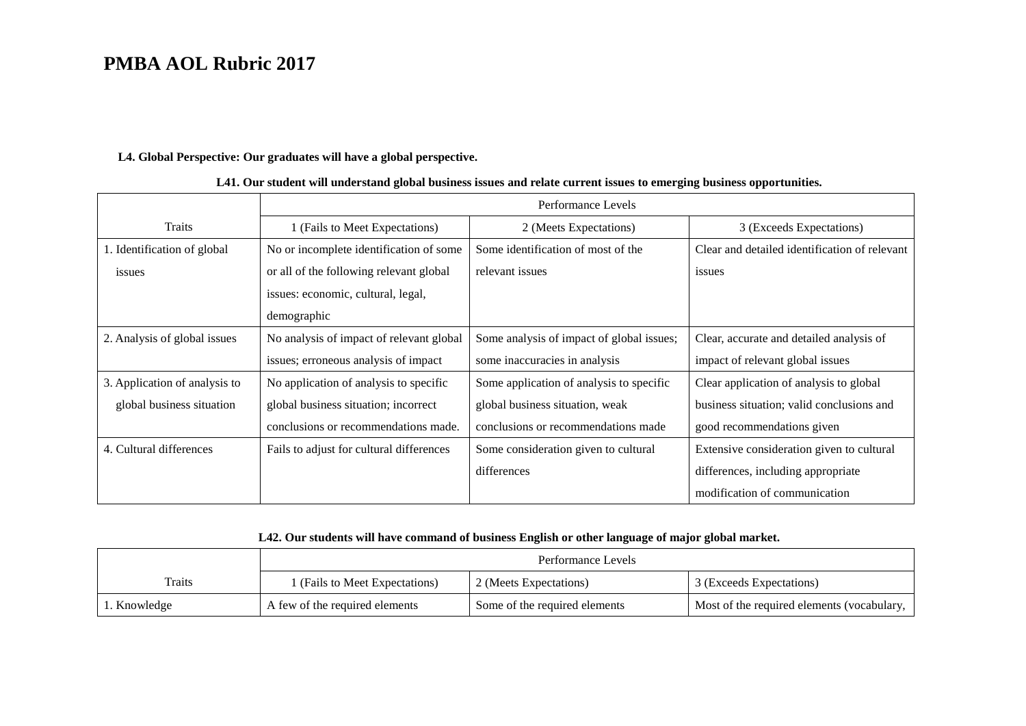### **L4. Global Perspective: Our graduates will have a global perspective.**

|                               |                                          | Performance Levels                        |                                               |  |
|-------------------------------|------------------------------------------|-------------------------------------------|-----------------------------------------------|--|
| <b>Traits</b>                 | 1 (Fails to Meet Expectations)           | 2 (Meets Expectations)                    | 3 (Exceeds Expectations)                      |  |
| 1. Identification of global   | No or incomplete identification of some  | Some identification of most of the        | Clear and detailed identification of relevant |  |
| issues                        | or all of the following relevant global  | relevant issues                           | issues                                        |  |
|                               | issues: economic, cultural, legal,       |                                           |                                               |  |
|                               | demographic                              |                                           |                                               |  |
| 2. Analysis of global issues  | No analysis of impact of relevant global | Some analysis of impact of global issues; | Clear, accurate and detailed analysis of      |  |
|                               | issues; erroneous analysis of impact     | some inaccuracies in analysis             | impact of relevant global issues              |  |
| 3. Application of analysis to | No application of analysis to specific   | Some application of analysis to specific  | Clear application of analysis to global       |  |
| global business situation     | global business situation; incorrect     | global business situation, weak           | business situation; valid conclusions and     |  |
|                               | conclusions or recommendations made.     | conclusions or recommendations made       | good recommendations given                    |  |
| 4. Cultural differences       | Fails to adjust for cultural differences | Some consideration given to cultural      | Extensive consideration given to cultural     |  |
|                               |                                          | differences                               | differences, including appropriate            |  |
|                               |                                          |                                           | modification of communication                 |  |

### **L41. Our student will understand global business issues and relate current issues to emerging business opportunities.**

## **L42. Our students will have command of business English or other language of major global market.**

|              | Performance Levels             |                               |                                              |
|--------------|--------------------------------|-------------------------------|----------------------------------------------|
| Traits       | 1 (Fails to Meet Expectations) | 2 (Meets Expectations)        | 3 (Exceeds Expectations)                     |
| 1. Knowledge | A few of the required elements | Some of the required elements | Most of the required elements (vocabulary, 1 |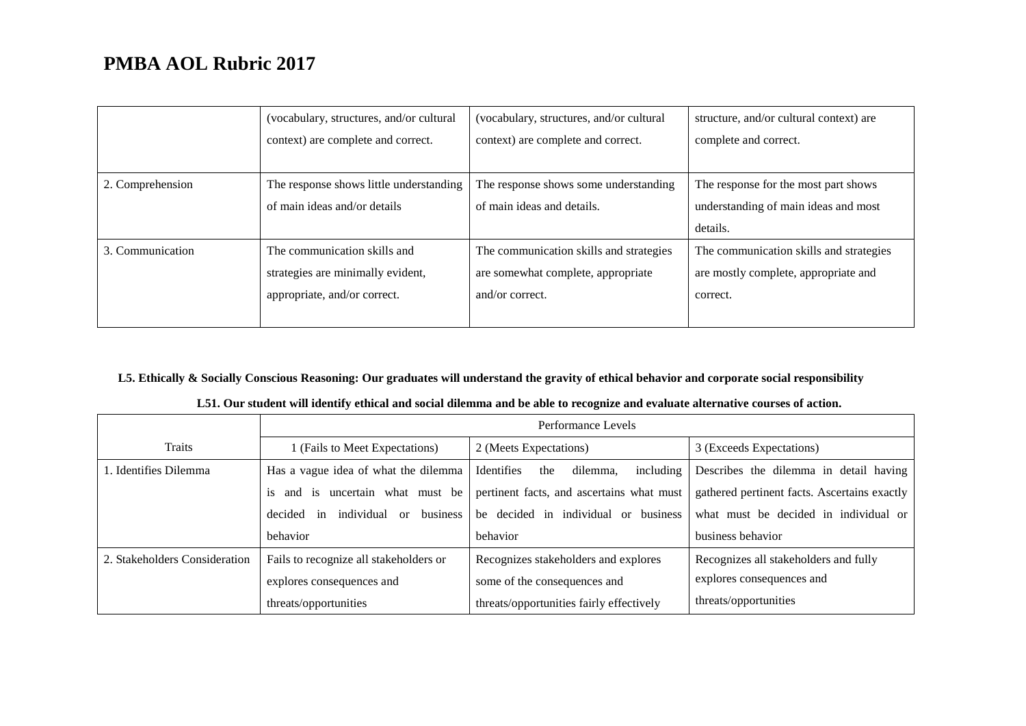|                  | (vocabulary, structures, and/or cultural | (vocabulary, structures, and/or cultural | structure, and/or cultural context) are |
|------------------|------------------------------------------|------------------------------------------|-----------------------------------------|
|                  | context) are complete and correct.       | context) are complete and correct.       | complete and correct.                   |
|                  |                                          |                                          |                                         |
| 2. Comprehension | The response shows little understanding  | The response shows some understanding    | The response for the most part shows    |
|                  | of main ideas and/or details             | of main ideas and details.               | understanding of main ideas and most    |
|                  |                                          |                                          | details.                                |
| 3. Communication | The communication skills and             | The communication skills and strategies  | The communication skills and strategies |
|                  | strategies are minimally evident,        | are somewhat complete, appropriate       | are mostly complete, appropriate and    |
|                  | appropriate, and/or correct.             | and/or correct.                          | correct.                                |
|                  |                                          |                                          |                                         |

## **L5. Ethically & Socially Conscious Reasoning: Our graduates will understand the gravity of ethical behavior and corporate social responsibility**

|  | L51. Our student will identify ethical and social dilemma and be able to recognize and evaluate alternative courses of action. |
|--|--------------------------------------------------------------------------------------------------------------------------------|
|--|--------------------------------------------------------------------------------------------------------------------------------|

|                               | Performance Levels                            |                                            |                                              |
|-------------------------------|-----------------------------------------------|--------------------------------------------|----------------------------------------------|
| Traits                        | (Fails to Meet Expectations)                  | 2 (Meets Expectations)                     | 3 (Exceeds Expectations)                     |
| 1. Identifies Dilemma         | Has a vague idea of what the dilemma          | Identifies<br>including<br>dilemma.<br>the | Describes the dilemma in detail having       |
|                               | and is uncertain what must be<br>is           | pertinent facts, and ascertains what must  | gathered pertinent facts. Ascertains exactly |
|                               | business<br>individual<br>decided<br>or<br>in | be decided in individual or business       | what must be decided in individual or        |
|                               | behavior                                      | behavior                                   | business behavior                            |
| 2. Stakeholders Consideration | Fails to recognize all stakeholders or        | Recognizes stakeholders and explores       | Recognizes all stakeholders and fully        |
|                               | explores consequences and                     | some of the consequences and               | explores consequences and                    |
|                               | threats/opportunities                         | threats/opportunities fairly effectively   | threats/opportunities                        |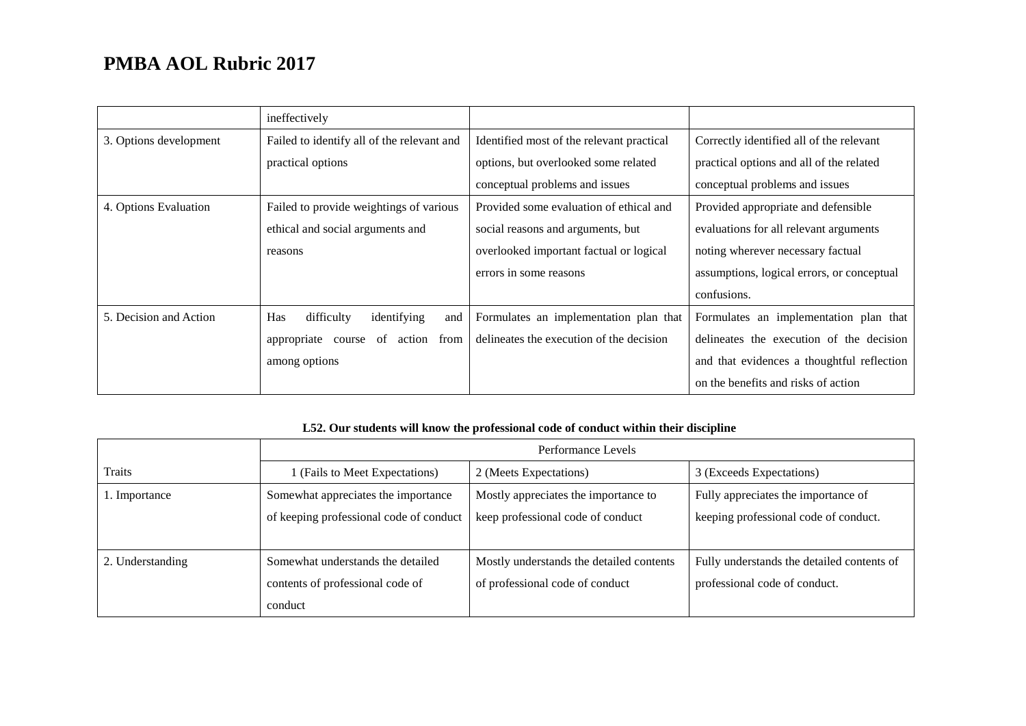|                        | ineffectively                                  |                                           |                                            |
|------------------------|------------------------------------------------|-------------------------------------------|--------------------------------------------|
| 3. Options development | Failed to identify all of the relevant and     | Identified most of the relevant practical | Correctly identified all of the relevant   |
|                        | practical options                              | options, but overlooked some related      | practical options and all of the related   |
|                        |                                                | conceptual problems and issues            | conceptual problems and issues             |
| 4. Options Evaluation  | Failed to provide weightings of various        | Provided some evaluation of ethical and   | Provided appropriate and defensible        |
|                        | ethical and social arguments and               | social reasons and arguments, but         | evaluations for all relevant arguments     |
|                        | reasons                                        | overlooked important factual or logical   | noting wherever necessary factual          |
|                        |                                                | errors in some reasons                    | assumptions, logical errors, or conceptual |
|                        |                                                |                                           | confusions.                                |
| 5. Decision and Action | <b>Has</b><br>difficulty<br>identifying<br>and | Formulates an implementation plan that    | Formulates an implementation plan that     |
|                        | of<br>from<br>appropriate<br>action<br>course  | delineates the execution of the decision  | delineates the execution of the decision   |
|                        | among options                                  |                                           | and that evidences a thoughtful reflection |
|                        |                                                |                                           | on the benefits and risks of action        |

## **L52. Our students will know the professional code of conduct within their discipline**

|                  | Performance Levels                      |                                          |                                            |
|------------------|-----------------------------------------|------------------------------------------|--------------------------------------------|
| Traits           | (Fails to Meet Expectations)            | 2 (Meets Expectations)                   | 3 (Exceeds Expectations)                   |
| l. Importance    | Somewhat appreciates the importance     | Mostly appreciates the importance to     | Fully appreciates the importance of        |
|                  | of keeping professional code of conduct | keep professional code of conduct        | keeping professional code of conduct.      |
|                  |                                         |                                          |                                            |
| 2. Understanding | Somewhat understands the detailed       | Mostly understands the detailed contents | Fully understands the detailed contents of |
|                  | contents of professional code of        | of professional code of conduct          | professional code of conduct.              |
|                  | conduct                                 |                                          |                                            |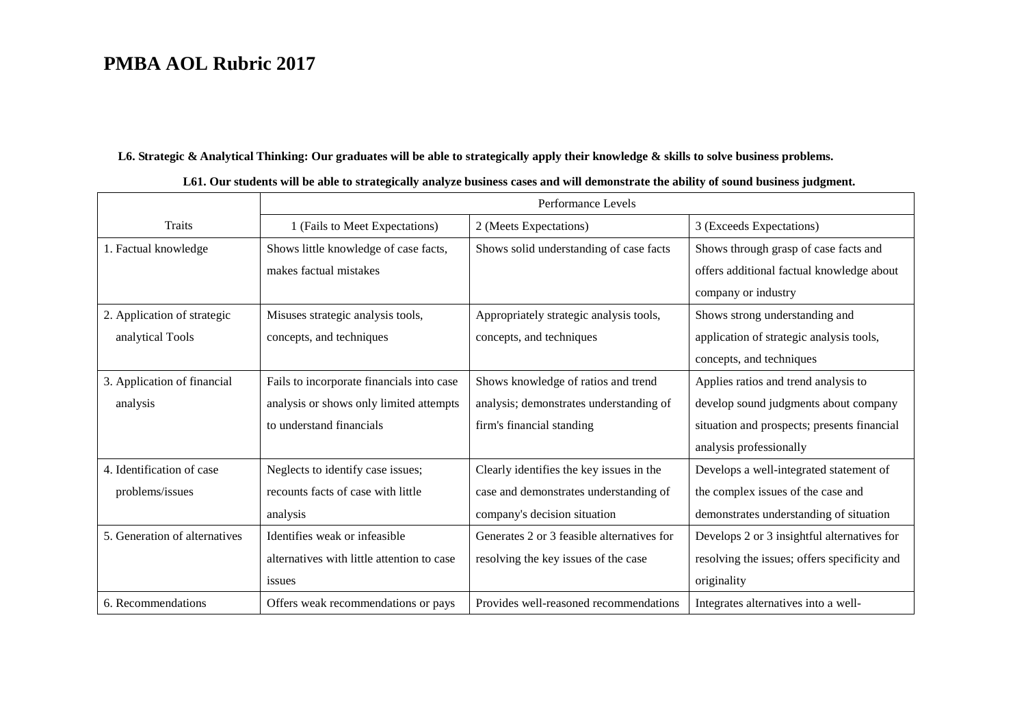### **L6. Strategic & Analytical Thinking: Our graduates will be able to strategically apply their knowledge & skills to solve business problems.**

|                               |                                            | Performance Levels                         |                                              |
|-------------------------------|--------------------------------------------|--------------------------------------------|----------------------------------------------|
| <b>Traits</b>                 | 1 (Fails to Meet Expectations)             | 2 (Meets Expectations)                     | 3 (Exceeds Expectations)                     |
| 1. Factual knowledge          | Shows little knowledge of case facts,      | Shows solid understanding of case facts    | Shows through grasp of case facts and        |
|                               | makes factual mistakes                     |                                            | offers additional factual knowledge about    |
|                               |                                            |                                            | company or industry                          |
| 2. Application of strategic   | Misuses strategic analysis tools,          | Appropriately strategic analysis tools,    | Shows strong understanding and               |
| analytical Tools              | concepts, and techniques                   | concepts, and techniques                   | application of strategic analysis tools,     |
|                               |                                            |                                            | concepts, and techniques                     |
| 3. Application of financial   | Fails to incorporate financials into case  | Shows knowledge of ratios and trend        | Applies ratios and trend analysis to         |
| analysis                      | analysis or shows only limited attempts    | analysis; demonstrates understanding of    | develop sound judgments about company        |
|                               | to understand financials                   | firm's financial standing                  | situation and prospects; presents financial  |
|                               |                                            |                                            | analysis professionally                      |
| 4. Identification of case     | Neglects to identify case issues;          | Clearly identifies the key issues in the   | Develops a well-integrated statement of      |
| problems/issues               | recounts facts of case with little         | case and demonstrates understanding of     | the complex issues of the case and           |
|                               | analysis                                   | company's decision situation               | demonstrates understanding of situation      |
| 5. Generation of alternatives | Identifies weak or infeasible              | Generates 2 or 3 feasible alternatives for | Develops 2 or 3 insightful alternatives for  |
|                               | alternatives with little attention to case | resolving the key issues of the case       | resolving the issues; offers specificity and |
|                               | issues                                     |                                            | originality                                  |
| 6. Recommendations            | Offers weak recommendations or pays        | Provides well-reasoned recommendations     | Integrates alternatives into a well-         |

### **L61. Our students will be able to strategically analyze business cases and will demonstrate the ability of sound business judgment.**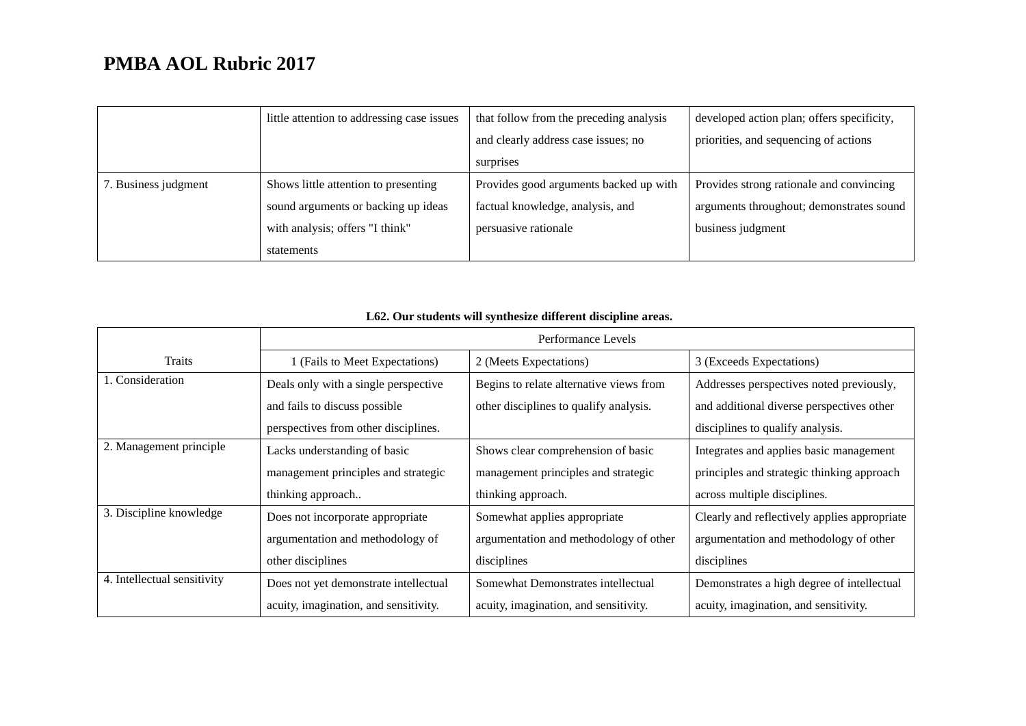|                      | little attention to addressing case issues | that follow from the preceding analysis | developed action plan; offers specificity, |
|----------------------|--------------------------------------------|-----------------------------------------|--------------------------------------------|
|                      |                                            | and clearly address case issues; no     | priorities, and sequencing of actions      |
|                      |                                            | surprises                               |                                            |
| 7. Business judgment | Shows little attention to presenting       | Provides good arguments backed up with  | Provides strong rationale and convincing   |
|                      | sound arguments or backing up ideas        | factual knowledge, analysis, and        | arguments throughout; demonstrates sound   |
|                      | with analysis; offers "I think"            | persuasive rationale                    | business judgment                          |
|                      | statements                                 |                                         |                                            |

## **L62. Our students will synthesize different discipline areas.**

|                             |                                       | Performance Levels                      |                                              |
|-----------------------------|---------------------------------------|-----------------------------------------|----------------------------------------------|
| Traits                      | 1 (Fails to Meet Expectations)        | 2 (Meets Expectations)                  | 3 (Exceeds Expectations)                     |
| 1. Consideration            | Deals only with a single perspective  | Begins to relate alternative views from | Addresses perspectives noted previously,     |
|                             | and fails to discuss possible         | other disciplines to qualify analysis.  | and additional diverse perspectives other    |
|                             | perspectives from other disciplines.  |                                         | disciplines to qualify analysis.             |
| 2. Management principle     | Lacks understanding of basic          | Shows clear comprehension of basic      | Integrates and applies basic management      |
|                             | management principles and strategic   | management principles and strategic     | principles and strategic thinking approach   |
|                             | thinking approach                     | thinking approach.                      | across multiple disciplines.                 |
| 3. Discipline knowledge     | Does not incorporate appropriate      | Somewhat applies appropriate            | Clearly and reflectively applies appropriate |
|                             | argumentation and methodology of      | argumentation and methodology of other  | argumentation and methodology of other       |
|                             | other disciplines                     | disciplines                             | disciplines                                  |
| 4. Intellectual sensitivity | Does not yet demonstrate intellectual | Somewhat Demonstrates intellectual      | Demonstrates a high degree of intellectual   |
|                             | acuity, imagination, and sensitivity. | acuity, imagination, and sensitivity.   | acuity, imagination, and sensitivity.        |